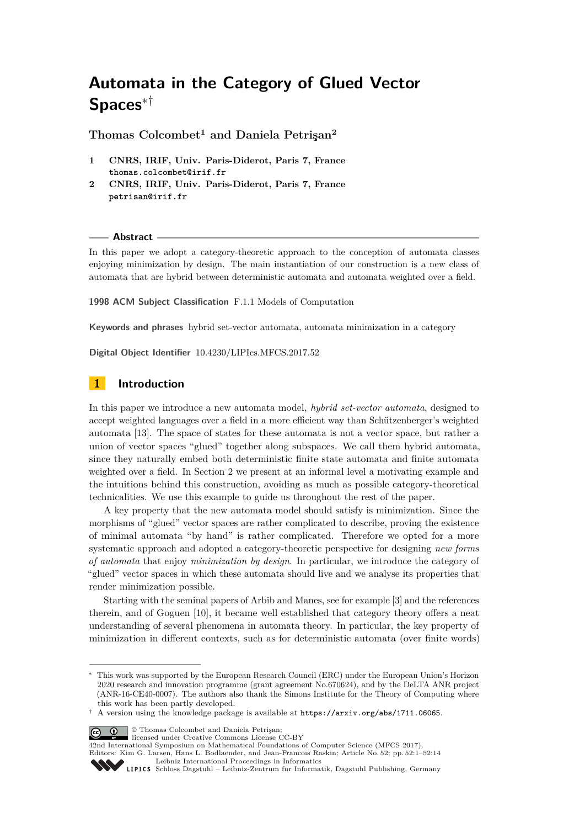# **Automata in the Category of Glued Vector Spaces**∗†

**Thomas Colcombet<sup>1</sup> and Daniela Petrişan<sup>2</sup>**

- **1 CNRS, IRIF, Univ. Paris-Diderot, Paris 7, France thomas.colcombet@irif.fr**
- **2 CNRS, IRIF, Univ. Paris-Diderot, Paris 7, France petrisan@irif.fr**

## **Abstract**

In this paper we adopt a category-theoretic approach to the conception of automata classes enjoying minimization by design. The main instantiation of our construction is a new class of automata that are hybrid between deterministic automata and automata weighted over a field.

**1998 ACM Subject Classification** F.1.1 Models of Computation

**Keywords and phrases** hybrid set-vector automata, automata minimization in a category

**Digital Object Identifier** [10.4230/LIPIcs.MFCS.2017.52](http://dx.doi.org/10.4230/LIPIcs.MFCS.2017.52)

# **1 Introduction**

In this paper we introduce a new automata model, *hybrid set-vector automata*, designed to accept weighted languages over a field in a more efficient way than Schützenberger's weighted automata [\[13\]](#page-13-0). The space of states for these automata is not a vector space, but rather a union of vector spaces "glued" together along subspaces. We call them hybrid automata, since they naturally embed both deterministic finite state automata and finite automata weighted over a field. In Section [2](#page-2-0) we present at an informal level a motivating example and the intuitions behind this construction, avoiding as much as possible category-theoretical technicalities. We use this example to guide us throughout the rest of the paper.

A key property that the new automata model should satisfy is minimization. Since the morphisms of "glued" vector spaces are rather complicated to describe, proving the existence of minimal automata "by hand" is rather complicated. Therefore we opted for a more systematic approach and adopted a category-theoretic perspective for designing *new forms of automata* that enjoy *minimization by design*. In particular, we introduce the category of "glued" vector spaces in which these automata should live and we analyse its properties that render minimization possible.

Starting with the seminal papers of Arbib and Manes, see for example [\[3\]](#page-12-0) and the references therein, and of Goguen [\[10\]](#page-13-1), it became well established that category theory offers a neat understanding of several phenomena in automata theory. In particular, the key property of minimization in different contexts, such as for deterministic automata (over finite words)

© Thomas Colcombet and Daniela Petrişan;

licensed under Creative Commons License CC-BY

42nd International Symposium on Mathematical Foundations of Computer Science (MFCS 2017).

Editors: Kim G. Larsen, Hans L. Bodlaender, and Jean-Francois Raskin; Article No. 52; pp. 52:1–52[:14](#page-13-2) [Leibniz International Proceedings in Informatics](http://www.dagstuhl.de/lipics/)



This work was supported by the European Research Council (ERC) under the European Union's Horizon 2020 research and innovation programme (grant agreement No.670624), and by the DeLTA ANR project (ANR-16-CE40-0007). The authors also thank the Simons Institute for the Theory of Computing where this work has been partly developed.

<sup>†</sup> A version using the knowledge package is available at <https://arxiv.org/abs/1711.06065>.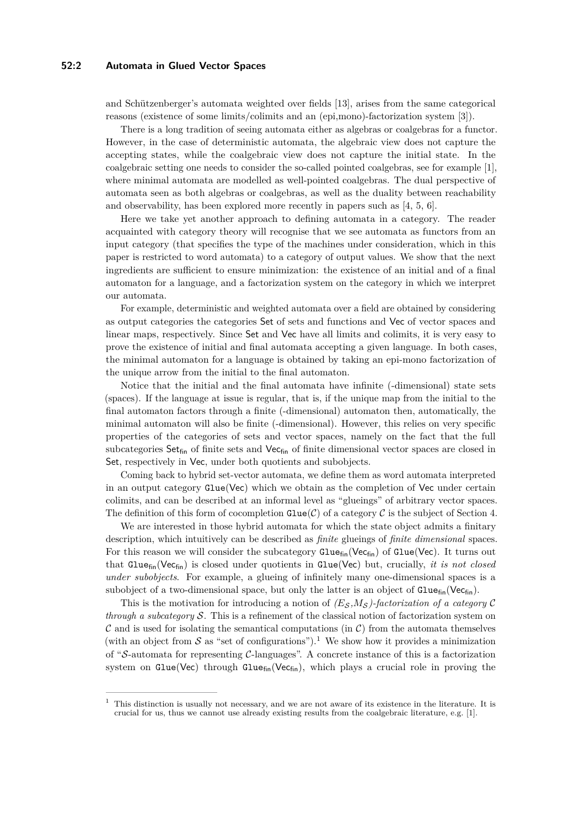## **52:2 Automata in Glued Vector Spaces**

and Schützenberger's automata weighted over fields [\[13\]](#page-13-0), arises from the same categorical reasons (existence of some limits/colimits and an (epi,mono)-factorization system [\[3\]](#page-12-0)).

There is a long tradition of seeing automata either as algebras or coalgebras for a functor. However, in the case of deterministic automata, the algebraic view does not capture the accepting states, while the coalgebraic view does not capture the initial state. In the coalgebraic setting one needs to consider the so-called pointed coalgebras, see for example [\[1\]](#page-12-1), where minimal automata are modelled as well-pointed coalgebras. The dual perspective of automata seen as both algebras or coalgebras, as well as the duality between reachability and observability, has been explored more recently in papers such as [\[4,](#page-12-2) [5,](#page-12-3) [6\]](#page-12-4).

Here we take yet another approach to defining automata in a category. The reader acquainted with category theory will recognise that we see automata as functors from an input category (that specifies the type of the machines under consideration, which in this paper is restricted to word automata) to a category of output values. We show that the next ingredients are sufficient to ensure minimization: the existence of an initial and of a final automaton for a language, and a factorization system on the category in which we interpret our automata.

For example, deterministic and weighted automata over a field are obtained by considering as output categories the categories Set of sets and functions and Vec of vector spaces and linear maps, respectively. Since Set and Vec have all limits and colimits, it is very easy to prove the existence of initial and final automata accepting a given language. In both cases, the minimal automaton for a language is obtained by taking an epi-mono factorization of the unique arrow from the initial to the final automaton.

Notice that the initial and the final automata have infinite (-dimensional) state sets (spaces). If the language at issue is regular, that is, if the unique map from the initial to the final automaton factors through a finite (-dimensional) automaton then, automatically, the minimal automaton will also be finite (-dimensional). However, this relies on very specific properties of the categories of sets and vector spaces, namely on the fact that the full subcategories  $\mathsf{Set}_{\mathsf{fin}}$  of finite sets and  $\mathsf{Vec}_{\mathsf{fin}}$  of finite dimensional vector spaces are closed in Set, respectively in Vec, under both quotients and subobjects.

Coming back to hybrid set-vector automata, we define them as word automata interpreted in an output category  $Glue(Vec)$  which we obtain as the completion of Vec under certain colimits, and can be described at an informal level as "glueings" of arbitrary vector spaces. The definition of this form of cocompletion  $\text{Glue}(\mathcal{C})$  of a category  $\mathcal C$  is the subject of Section [4.](#page-9-0)

We are interested in those hybrid automata for which the state object admits a finitary description, which intuitively can be described as *finite* glueings of *finite dimensional* spaces. For this reason we will consider the subcategory  $\text{Glue}_{fin}(\text{Vec}_{fin})$  of  $\text{Glue}(\text{Vec})$ . It turns out that Gluefin(Vecfin) is closed under quotients in Glue(Vec) but, crucially, *it is not closed under subobjects*. For example, a glueing of infinitely many one-dimensional spaces is a subobject of a two-dimensional space, but only the latter is an object of  $Gluef_{in}(Vec_{fin})$ .

This is the motivation for introducing a notion of  $(E_S, M_S)$ -factorization of a category C *through a subcategory* S. This is a refinement of the classical notion of factorization system on  $\mathcal C$  and is used for isolating the semantical computations (in  $\mathcal C$ ) from the automata themselves (with an object from  $S$  as "set of configurations").<sup>[1](#page-1-0)</sup> We show how it provides a minimization of "S-automata for representing C-languages". A concrete instance of this is a factorization system on Glue(Vec) through Glue<sub>fin</sub>(Vec<sub>fin</sub>), which plays a crucial role in proving the

<span id="page-1-0"></span><sup>1</sup> This distinction is usually not necessary, and we are not aware of its existence in the literature. It is crucial for us, thus we cannot use already existing results from the coalgebraic literature, e.g. [\[1\]](#page-12-1).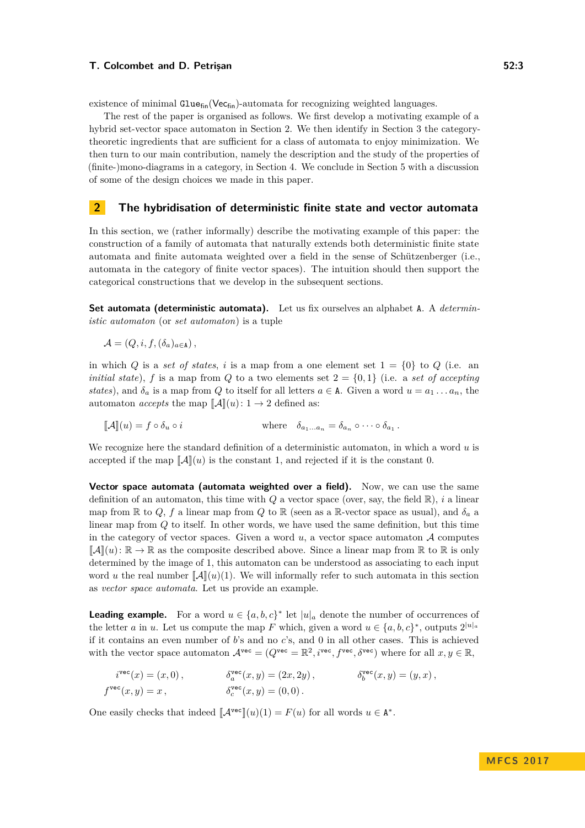existence of minimal  $Gluef_{in}(Vec_{fin})$ -automata for recognizing weighted languages.

The rest of the paper is organised as follows. We first develop a motivating example of a hybrid set-vector space automaton in Section [2.](#page-2-0) We then identify in Section [3](#page-5-0) the categorytheoretic ingredients that are sufficient for a class of automata to enjoy minimization. We then turn to our main contribution, namely the description and the study of the properties of (finite-)mono-diagrams in a category, in Section [4.](#page-9-0) We conclude in Section [5](#page-11-0) with a discussion of some of the design choices we made in this paper.

## <span id="page-2-0"></span>**2 The hybridisation of deterministic finite state and vector automata**

In this section, we (rather informally) describe the motivating example of this paper: the construction of a family of automata that naturally extends both deterministic finite state automata and finite automata weighted over a field in the sense of Schützenberger (i.e., automata in the category of finite vector spaces). The intuition should then support the categorical constructions that we develop in the subsequent sections.

**Set automata (deterministic automata).** Let us fix ourselves an alphabet A. A *deterministic automaton* (or *set automaton*) is a tuple

$$
\mathcal{A} = (Q, i, f, (\delta_a)_{a \in \mathbf{A}}),
$$

in which *Q* is a *set of states*, *i* is a map from a one element set  $1 = \{0\}$  to *Q* (i.e. an *initial state*), *f* is a map from *Q* to a two elements set  $2 = \{0, 1\}$  (i.e. a *set of accepting states*), and  $\delta_a$  is a map from *Q* to itself for all letters  $a \in A$ . Given a word  $u = a_1 \ldots a_n$ , the automaton *accepts* the map  $\llbracket \mathcal{A} \rrbracket(u)$ :  $1 \rightarrow 2$  defined as:

 $[\![\mathcal{A}]\!](u) = f \circ \delta_u \circ i$  where  $\delta_{a_1...a_n} = \delta_{a_n} \circ \cdots \circ \delta_{a_1}$ .

We recognize here the standard definition of a deterministic automaton, in which a word *u* is accepted if the map  $\llbracket \mathcal{A} \rrbracket(u)$  is the constant 1, and rejected if it is the constant 0.

**Vector space automata (automata weighted over a field).** Now, we can use the same definition of an automaton, this time with *Q* a vector space (over, say, the field R), *i* a linear map from  $\mathbb R$  to  $Q$ ,  $f$  a linear map from  $Q$  to  $\mathbb R$  (seen as a  $\mathbb R$ -vector space as usual), and  $\delta_a$  a linear map from *Q* to itself. In other words, we have used the same definition, but this time in the category of vector spaces. Given a word  $u$ , a vector space automaton  $A$  computes  $\llbracket \mathcal{A} \rrbracket(u) : \mathbb{R} \to \mathbb{R}$  as the composite described above. Since a linear map from  $\mathbb{R}$  to  $\mathbb{R}$  is only determined by the image of 1, this automaton can be understood as associating to each input word *u* the real number  $\llbracket \mathcal{A} \rrbracket(u)(1)$ . We will informally refer to such automata in this section as *vector space automata*. Let us provide an example.

**Leading example.** For a word  $u \in \{a, b, c\}^*$  let  $|u|_a$  denote the number of occurrences of the letter *a* in *u*. Let us compute the map *F* which, given a word  $u \in \{a, b, c\}^*$ , outputs  $2^{|u|_a}$ if it contains an even number of *b*'s and no *c*'s, and 0 in all other cases. This is achieved with the vector space automaton  $\mathcal{A}^{\text{vec}} = (Q^{\text{vec}} = \mathbb{R}^2, i^{\text{vec}}, f^{\text{vec}}, \delta^{\text{vec}})$  where for all  $x, y \in \mathbb{R}$ ,

$$
i^{\text{vec}}(x) = (x, 0), \qquad \qquad \delta_a^{\text{vec}}(x, y) = (2x, 2y), \qquad \qquad \delta_b^{\text{vec}}(x, y) = (y, x),
$$
  

$$
f^{\text{vec}}(x, y) = x, \qquad \qquad \delta_c^{\text{vec}}(x, y) = (0, 0).
$$

One easily checks that indeed  $[\mathcal{A}^{\text{vec}}](u)(1) = F(u)$  for all words  $u \in \mathbb{A}^*$ .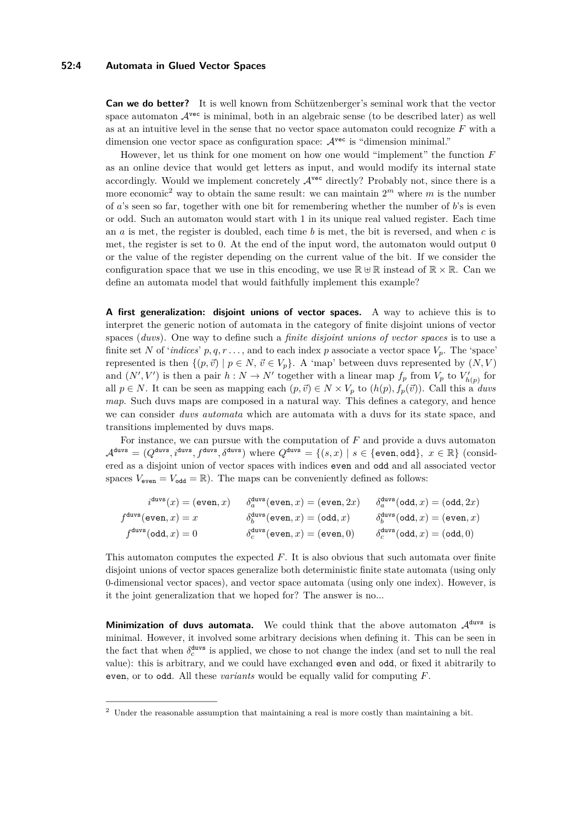## **52:4 Automata in Glued Vector Spaces**

**Can we do better?** It is well known from Schützenberger's seminal work that the vector space automaton  $A^{vec}$  is minimal, both in an algebraic sense (to be described later) as well as at an intuitive level in the sense that no vector space automaton could recognize *F* with a dimension one vector space as configuration space:  $\mathcal{A}^{\text{vec}}$  is "dimension minimal."

However, let us think for one moment on how one would "implement" the function *F* as an online device that would get letters as input, and would modify its internal state accordingly. Would we implement concretely  $\mathcal{A}^{\text{vec}}$  directly? Probably not, since there is a more economic<sup>[2](#page-3-0)</sup> way to obtain the same result: we can maintain  $2^m$  where m is the number of *a*'s seen so far, together with one bit for remembering whether the number of *b*'s is even or odd. Such an automaton would start with 1 in its unique real valued register. Each time an *a* is met, the register is doubled, each time *b* is met, the bit is reversed, and when *c* is met, the register is set to 0. At the end of the input word, the automaton would output 0 or the value of the register depending on the current value of the bit. If we consider the configuration space that we use in this encoding, we use  $\mathbb{R} \oplus \mathbb{R}$  instead of  $\mathbb{R} \times \mathbb{R}$ . Can we define an automata model that would faithfully implement this example?

**A first generalization: disjoint unions of vector spaces.** A way to achieve this is to interpret the generic notion of automata in the category of finite disjoint unions of vector spaces (*duvs*). One way to define such a *finite disjoint unions of vector spaces* is to use a finite set N of '*indices*'  $p, q, r \ldots$ , and to each index  $p$  associate a vector space  $V_p$ . The 'space' represented is then  $\{(p, \vec{v}) \mid p \in N, \vec{v} \in V_p\}$ . A 'map' between duvs represented by  $(N, V)$ and  $(N', V')$  is then a pair  $h: N \to N'$  together with a linear map  $f_p$  from  $V_p$  to  $V'_{h(p)}$  for all  $p \in N$ . It can be seen as mapping each  $(p, \vec{v}) \in N \times V_p$  to  $(h(p), f_p(\vec{v}))$ . Call this a *duvs map*. Such duvs maps are composed in a natural way. This defines a category, and hence we can consider *duvs automata* which are automata with a duvs for its state space, and transitions implemented by duvs maps.

For instance, we can pursue with the computation of *F* and provide a duvs automaton  $\mathcal{A}^{\text{duvs}} = (Q^{\text{duvs}}, i^{\text{duvs}}, f^{\text{duvs}}, \delta^{\text{duvs}})$  where  $Q^{\text{duvs}} = \{(s, x) | s \in \{\text{even}, \text{odd}\}, x \in \mathbb{R}\}$  (considered as a disjoint union of vector spaces with indices even and odd and all associated vector spaces  $V_{\text{even}} = V_{\text{odd}} = \mathbb{R}$ ). The maps can be conveniently defined as follows:

$$
\begin{array}{llll} i^{\rm{duvs}}(x)=(\text{even},x) & \delta_a^{\rm{duvs}}(\text{even},x)=(\text{even},2x) & \delta_a^{\rm{duvs}}(\text{odd},x)=(\text{odd},2x) \\ f^{\rm{duvs}}(\text{even},x)=x & \delta_b^{\rm{duvs}}(\text{even},x)=(\text{odd},x) & \delta_b^{\rm{duvs}}(\text{odd},x)=(\text{even},x) \\ f^{\rm{duvs}}(\text{odd},x)=0 & \delta_c^{\rm{duvs}}(\text{even},x)=(\text{even},0) & \delta_c^{\rm{duvs}}(\text{odd},x)=(\text{odd},0) \end{array}
$$

This automaton computes the expected *F*. It is also obvious that such automata over finite disjoint unions of vector spaces generalize both deterministic finite state automata (using only 0-dimensional vector spaces), and vector space automata (using only one index). However, is it the joint generalization that we hoped for? The answer is no...

**Minimization of duvs automata.** We could think that the above automaton  $\mathcal{A}^{\text{duvs}}$  is minimal. However, it involved some arbitrary decisions when defining it. This can be seen in the fact that when  $\delta_c^{\text{duvs}}$  is applied, we chose to not change the index (and set to null the real value): this is arbitrary, and we could have exchanged even and odd, or fixed it abitrarily to even, or to odd. All these *variants* would be equally valid for computing *F*.

<span id="page-3-0"></span><sup>&</sup>lt;sup>2</sup> Under the reasonable assumption that maintaining a real is more costly than maintaining a bit.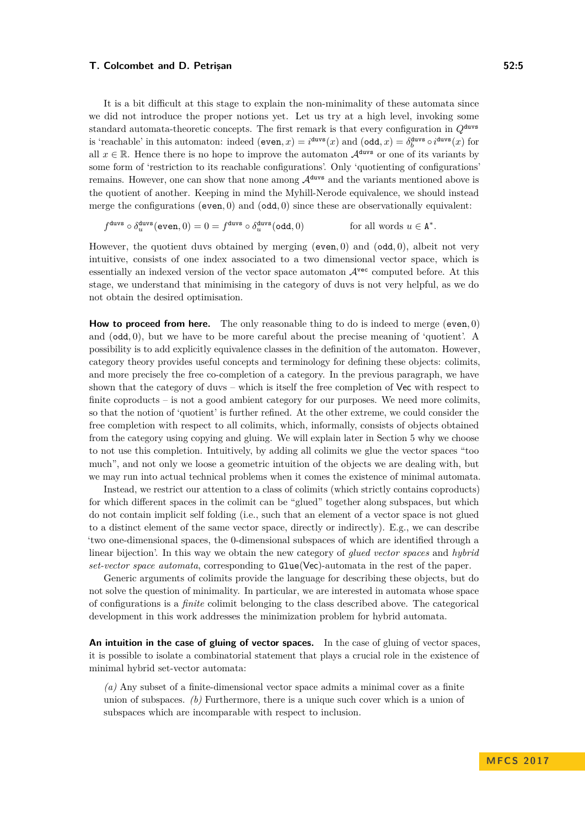#### **T. Colcombet and D. Petrisan 62:5** and 52:5

It is a bit difficult at this stage to explain the non-minimality of these automata since we did not introduce the proper notions yet. Let us try at a high level, invoking some standard automata-theoretic concepts. The first remark is that every configuration in *Q*duvs is 'reachable' in this automaton: indeed  $(\text{even}, x) = i^{\text{duvs}}(x)$  and  $(\text{odd}, x) = \delta_b^{\text{duvs}} \circ i^{\text{duvs}}(x)$  for all  $x \in \mathbb{R}$ . Hence there is no hope to improve the automaton  $\mathcal{A}^{\text{duvs}}$  or one of its variants by some form of 'restriction to its reachable configurations'. Only 'quotienting of configurations' remains. However, one can show that none among  $\mathcal{A}^{\text{duvs}}$  and the variants mentioned above is the quotient of another. Keeping in mind the Myhill-Nerode equivalence, we should instead merge the configurations (even*,* 0) and (odd*,* 0) since these are observationally equivalent:

$$
f^{\text{duvs}} \circ \delta_u^{\text{duvs}}(\text{even},0) = 0 = f^{\text{duvs}} \circ \delta_u^{\text{duvs}}(\text{odd},0) \qquad \text{for all words } u \in \mathbf{A}^*.
$$

However, the quotient duvs obtained by merging (even*,* 0) and (odd*,* 0), albeit not very intuitive, consists of one index associated to a two dimensional vector space, which is essentially an indexed version of the vector space automaton  $\mathcal{A}^{\text{vec}}$  computed before. At this stage, we understand that minimising in the category of duvs is not very helpful, as we do not obtain the desired optimisation.

**How to proceed from here.** The only reasonable thing to do is indeed to merge (even*,* 0) and (odd*,* 0), but we have to be more careful about the precise meaning of 'quotient'. A possibility is to add explicitly equivalence classes in the definition of the automaton. However, category theory provides useful concepts and terminology for defining these objects: colimits, and more precisely the free co-completion of a category. In the previous paragraph, we have shown that the category of duvs – which is itself the free completion of Vec with respect to finite coproducts  $-$  is not a good ambient category for our purposes. We need more colimits, so that the notion of 'quotient' is further refined. At the other extreme, we could consider the free completion with respect to all colimits, which, informally, consists of objects obtained from the category using copying and gluing. We will explain later in Section [5](#page-11-0) why we choose to not use this completion. Intuitively, by adding all colimits we glue the vector spaces "too much", and not only we loose a geometric intuition of the objects we are dealing with, but we may run into actual technical problems when it comes the existence of minimal automata.

Instead, we restrict our attention to a class of colimits (which strictly contains coproducts) for which different spaces in the colimit can be "glued" together along subspaces, but which do not contain implicit self folding (i.e., such that an element of a vector space is not glued to a distinct element of the same vector space, directly or indirectly). E.g., we can describe 'two one-dimensional spaces, the 0-dimensional subspaces of which are identified through a linear bijection'. In this way we obtain the new category of *glued vector spaces* and *hybrid set-vector space automata*, corresponding to Glue(Vec)-automata in the rest of the paper.

Generic arguments of colimits provide the language for describing these objects, but do not solve the question of minimality. In particular, we are interested in automata whose space of configurations is a *finite* colimit belonging to the class described above. The categorical development in this work addresses the minimization problem for hybrid automata.

**An intuition in the case of gluing of vector spaces.** In the case of gluing of vector spaces, it is possible to isolate a combinatorial statement that plays a crucial role in the existence of minimal hybrid set-vector automata:

*(a)* Any subset of a finite-dimensional vector space admits a minimal cover as a finite union of subspaces. *(b)* Furthermore, there is a unique such cover which is a union of subspaces which are incomparable with respect to inclusion.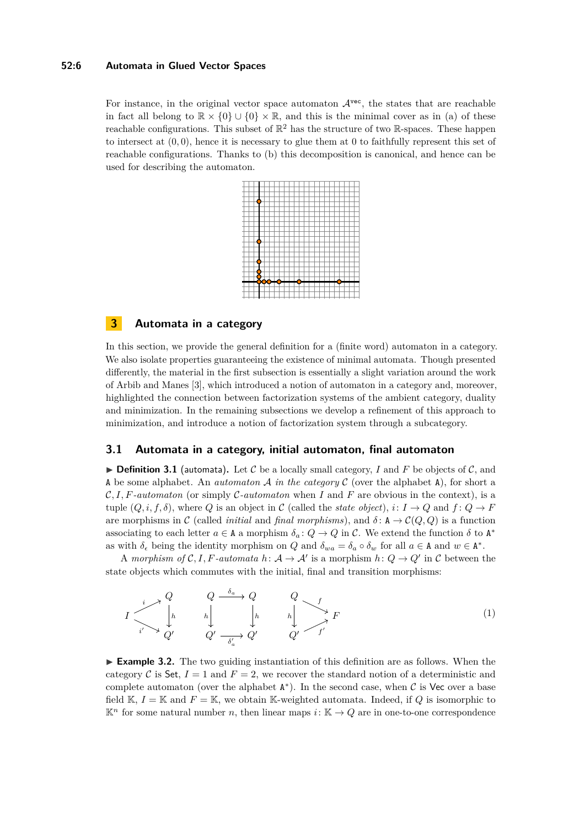## **52:6 Automata in Glued Vector Spaces**

For instance, in the original vector space automaton  $A^{vec}$ , the states that are reachable in fact all belong to  $\mathbb{R} \times \{0\} \cup \{0\} \times \mathbb{R}$ , and this is the minimal cover as in (a) of these reachable configurations. This subset of  $\mathbb{R}^2$  has the structure of two  $\mathbb{R}$ -spaces. These happen to intersect at  $(0,0)$ , hence it is necessary to glue them at 0 to faithfully represent this set of reachable configurations. Thanks to (b) this decomposition is canonical, and hence can be used for describing the automaton.

# <span id="page-5-0"></span>**3 Automata in a category**

In this section, we provide the general definition for a (finite word) automaton in a category. We also isolate properties guaranteeing the existence of minimal automata. Though presented differently, the material in the first subsection is essentially a slight variation around the work of Arbib and Manes [\[3\]](#page-12-0), which introduced a notion of automaton in a category and, moreover, highlighted the connection between factorization systems of the ambient category, duality and minimization. In the remaining subsections we develop a refinement of this approach to minimization, and introduce a notion of factorization system through a subcategory.

# **3.1 Automata in a category, initial automaton, final automaton**

 $\triangleright$  **Definition 3.1** (automata). Let C be a locally small category, I and F be objects of C, and A be some alphabet. An *automaton* A *in the category* C (over the alphabet A), for short a C*, I, F-automaton* (or simply C*-automaton* when *I* and *F* are obvious in the context), is a tuple  $(Q, i, f, \delta)$ , where *Q* is an object in *C* (called the *state object*),  $i: I \to Q$  and  $f: Q \to F$ are morphisms in C (called *initial* and *final morphisms*), and  $\delta: A \to C(Q, Q)$  is a function associating to each letter  $a \in A$  a morphism  $\delta_a: Q \to Q$  in C. We extend the function  $\delta$  to  $A^*$ as with  $\delta_{\epsilon}$  being the identity morphism on *Q* and  $\delta_{wa} = \delta_a \circ \delta_w$  for all  $a \in A$  and  $w \in A^*$ .

A morphism of  $C, I, F$ -automata  $h: A \to A'$  is a morphism  $h: Q \to Q'$  in C between the state objects which commutes with the initial, final and transition morphisms:

$$
I \xrightarrow{i} \begin{array}{ccc} Q & Q & \xrightarrow{\delta_a} Q & Q \\ \downarrow h & h & \downarrow h & h \\ \downarrow i' & Q' & Q' & \xrightarrow{\delta_a'} Q' & Q' & f' \end{array} \qquad (1)
$$

► **Example 3.2.** The two guiding instantiation of this definition are as follows. When the category C is Set,  $I = 1$  and  $F = 2$ , we recover the standard notion of a deterministic and complete automaton (over the alphabet  $A^*$ ). In the second case, when  $C$  is Vec over a base field K,  $I = K$  and  $F = K$ , we obtain K-weighted automata. Indeed, if Q is isomorphic to  $\mathbb{K}^n$  for some natural number *n*, then linear maps *i*:  $\mathbb{K} \to Q$  are in one-to-one correspondence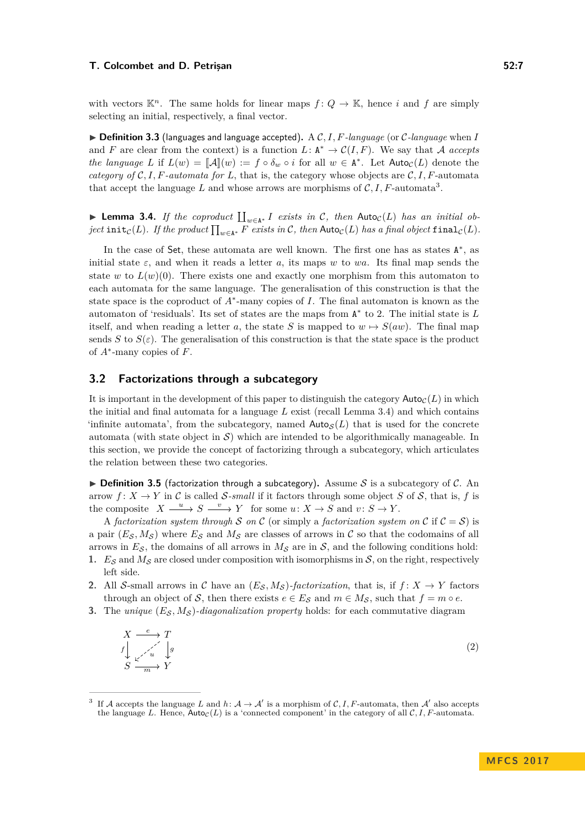with vectors  $\mathbb{K}^n$ . The same holds for linear maps  $f: Q \to \mathbb{K}$ , hence *i* and *f* are simply selecting an initial, respectively, a final vector.

 $\triangleright$  **Definition 3.3** (languages and language accepted). A C, I, F-language (or C-language when I and *F* are clear from the context) is a function  $L: \mathbb{A}^* \to \mathcal{C}(I, F)$ . We say that A *accepts the language L* if  $L(w) = [A](w) := f \circ \delta_w \circ i$  for all  $w \in A^*$ . Let  $\text{Auto}_\mathcal{C}(L)$  denote the *category of*  $C, I, F$ *-automata for*  $L$ , that is, the category whose objects are  $C, I, F$ -automata that accept the language L and whose arrows are morphisms of  $\mathcal{C}, I, F$ -automata<sup>[3](#page-6-0)</sup>.

<span id="page-6-1"></span>▶ Lemma 3.4. *If the coproduct*  $\prod_{w \in A^*} I$  *exists in*  $C$ *, then* Auto<sub>C</sub>(*L*) *has an initial ob-* $\int \int \int f(x) \, dx \, dx$  *f the product*  $\prod_{w \in A^*} F$  *exists in* C, then  $\textsf{Auto}_\mathcal{C}(L)$  *has a final object* final  $\int_C (L)$ *.* 

In the case of Set, these automata are well known. The first one has as states  $A^*$ , as initial state  $\varepsilon$ , and when it reads a letter *a*, its maps *w* to *wa*. Its final map sends the state *w* to  $L(w)(0)$ . There exists one and exactly one morphism from this automaton to each automata for the same language. The generalisation of this construction is that the state space is the coproduct of *A*<sup>∗</sup> -many copies of *I*. The final automaton is known as the automaton of 'residuals'. Its set of states are the maps from A ∗ to 2. The initial state is *L* itself, and when reading a letter *a*, the state *S* is mapped to  $w \mapsto S(aw)$ . The final map sends *S* to  $S(\varepsilon)$ . The generalisation of this construction is that the state space is the product of *A*<sup>∗</sup> -many copies of *F*.

# **3.2 Factorizations through a subcategory**

It is important in the development of this paper to distinguish the category  $\textsf{Auto}_\mathcal{C}(L)$  in which the initial and final automata for a language *L* exist (recall Lemma [3.4\)](#page-6-1) and which contains 'infinite automata', from the subcategory, named  $\textsf{Auto}_\mathcal{S}(L)$  that is used for the concrete automata (with state object in  $S$ ) which are intended to be algorithmically manageable. In this section, we provide the concept of factorizing through a subcategory, which articulates the relation between these two categories.

**Definition 3.5** (factorization through a subcategory). Assume S is a subcategory of C. An arrow  $f: X \to Y$  in C is called S-small if it factors through some object S of S, that is, f is the composite  $X \xrightarrow{u} S \xrightarrow{v} Y$  for some  $u: X \to S$  and  $v: S \to Y$ .

A *factorization system through* S on C (or simply a *factorization system on* C if  $C = S$ ) is a pair  $(E_S, M_S)$  where  $E_S$  and  $M_S$  are classes of arrows in C so that the codomains of all arrows in  $E_S$ , the domains of all arrows in  $M_S$  are in  $S$ , and the following conditions hold:

- **1.**  $E_S$  and  $M_S$  are closed under composition with isomorphisms in S, on the right, respectively left side.
- **2.** All S-small arrows in C have an  $(E_S, M_S)$ -factorization, that is, if  $f: X \to Y$  factors through an object of S, then there exists  $e \in E_S$  and  $m \in M_S$ , such that  $f = m \circ e$ .
- **3.** The *unique*  $(E_S, M_S)$ *-diagonalization property* holds: for each commutative diagram

$$
X \xrightarrow{e} T
$$
  
\n
$$
f \downarrow \swarrow u \qquad g
$$
  
\n
$$
S \xrightarrow{m} Y
$$
  
\n
$$
(2)
$$

<span id="page-6-0"></span><sup>3</sup> If A accepts the language L and  $h: \mathcal{A} \to \mathcal{A}'$  is a morphism of C, I, F-automata, then  $\mathcal{A}'$  also accepts the language *L*. Hence,  $\text{Auto}_\mathcal{C}(L)$  is a 'connected component' in the category of all  $\mathcal{C}, I, F$ -automata.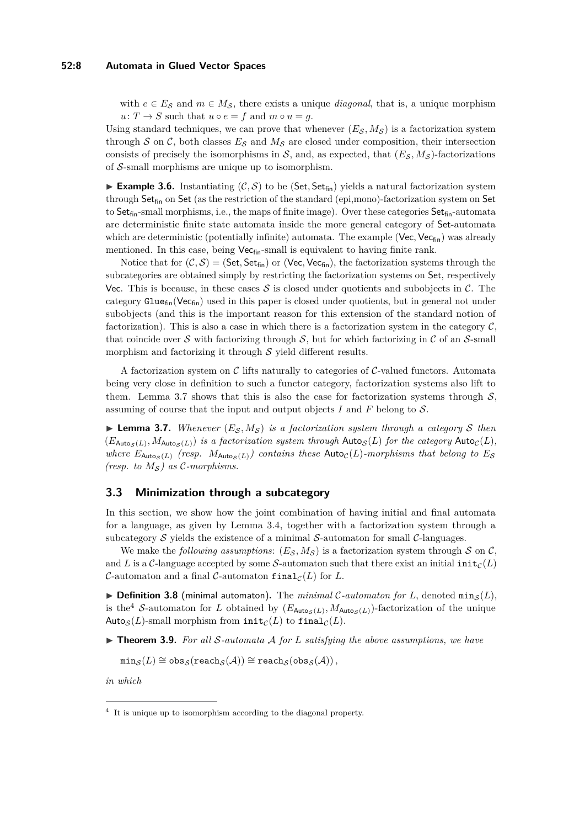## **52:8 Automata in Glued Vector Spaces**

with  $e \in E_S$  and  $m \in M_S$ , there exists a unique *diagonal*, that is, a unique morphism  $u: T \to S$  such that  $u \circ e = f$  and  $m \circ u = g$ .

Using standard techniques, we can prove that whenever  $(E_S, M_S)$  is a factorization system through  $S$  on  $C$ , both classes  $E_S$  and  $M_S$  are closed under composition, their intersection consists of precisely the isomorphisms in  $S$ , and, as expected, that  $(E_S, M_S)$ -factorizations of  $S$ -small morphisms are unique up to isomorphism.

**Example 3.6.** Instantiating  $(C, S)$  to be (Set, Set<sub>fin</sub>) yields a natural factorization system through Set $_{fin}$  on Set (as the restriction of the standard (epi,mono)-factorization system on Set to  $Set_{fin}$ -small morphisms, i.e., the maps of finite image). Over these categories  $Set_{fin}$ -automata are deterministic finite state automata inside the more general category of Set-automata which are deterministic (potentially infinite) automata. The example (Vec, Vec<sub>fin</sub>) was already mentioned. In this case, being  $Vec_{fin}$ -small is equivalent to having finite rank.

Notice that for  $(C, S) = (Set, Set_{fin})$  or  $(Vec, Vec_{fin})$ , the factorization systems through the subcategories are obtained simply by restricting the factorization systems on Set, respectively Vec. This is because, in these cases  $S$  is closed under quotients and subobjects in  $C$ . The category  $\text{Glue}_{fin}(\text{Vec}_{fin})$  used in this paper is closed under quotients, but in general not under subobjects (and this is the important reason for this extension of the standard notion of factorization). This is also a case in which there is a factorization system in the category  $\mathcal{C}$ , that coincide over S with factorizing through S, but for which factorizing in C of an S-small morphism and factorizing it through  $S$  yield different results.

A factorization system on  $\mathcal C$  lifts naturally to categories of  $\mathcal C$ -valued functors. Automata being very close in definition to such a functor category, factorization systems also lift to them. Lemma [3.7](#page-7-0) shows that this is also the case for factorization systems through  $S$ , assuming of course that the input and output objects *I* and *F* belong to S.

<span id="page-7-0"></span>**Lemma 3.7.** *Whenever*  $(E_S, M_S)$  *is a factorization system through a category* S *then*  $(E_{\text{Auto}_{\mathcal{S}}(L)}, M_{\text{Auto}_{\mathcal{S}}(L)})$  *is a factorization system through*  $\text{Auto}_{\mathcal{S}}(L)$  *for the category*  $\text{Auto}_{\mathcal{C}}(L)$ *, where*  $E_{\text{Autos}(L)}$  *(resp.*  $M_{\text{Autos}(L)}$ *) contains these*  $\text{Auto}_C(L)$ *-morphisms that belong to*  $E_S$ *(resp. to*  $M_S$ *)* as C-morphisms.

# **3.3 Minimization through a subcategory**

In this section, we show how the joint combination of having initial and final automata for a language, as given by Lemma [3.4,](#page-6-1) together with a factorization system through a subcategory  $S$  yields the existence of a minimal  $S$ -automaton for small  $C$ -languages.

We make the *following assumptions*:  $(E_S, M_S)$  is a factorization system through S on C, and *L* is a *C*-language accepted by some *S*-automaton such that there exist an initial  $\text{init}_{\mathcal{C}}(L)$ C-automaton and a final C-automaton final  $\mathcal{C}(L)$  for L.

 $\triangleright$  **Definition 3.8** (minimal automaton). The *minimal* C-automaton for L, denoted min<sub>S</sub>(L), is the<sup>[4](#page-7-1)</sup> S-automaton for *L* obtained by  $(E_{\text{Auto}_{\mathcal{S}}(L)}, M_{\text{Auto}_{\mathcal{S}}(L)})$ -factorization of the unique Auto<sub>S</sub> $(L)$ -small morphism from  $\text{init}_C(L)$  to  $\text{final}_C(L)$ .

<span id="page-7-2"></span> $\triangleright$  **Theorem 3.9.** For all S-automata A for L satisfying the above assumptions, we have

 $\min_{\mathcal{S}}(L) \cong \text{obs}_{\mathcal{S}}(\text{reach}_{\mathcal{S}}(\mathcal{A})) \cong \text{reach}_{\mathcal{S}}(\text{obs}_{\mathcal{S}}(\mathcal{A})),$ 

*in which*

<span id="page-7-1"></span><sup>&</sup>lt;sup>4</sup> It is unique up to isomorphism according to the diagonal property.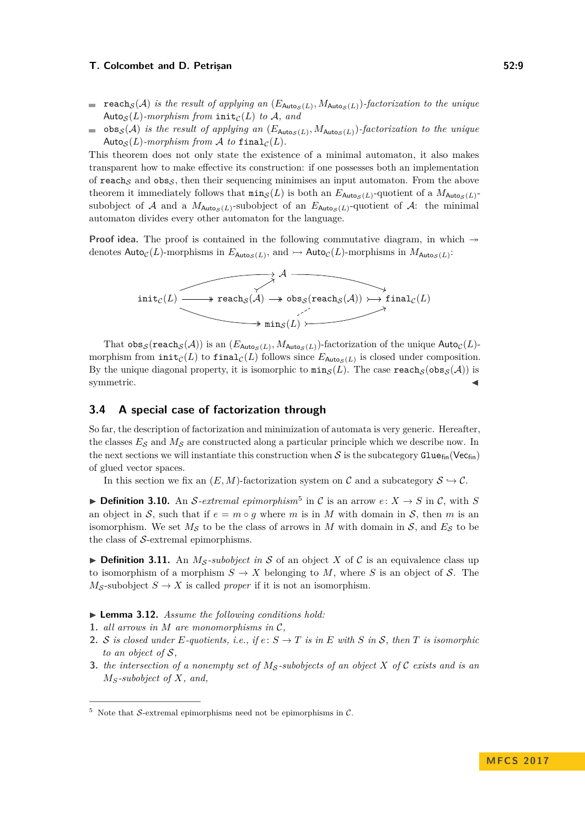- $\texttt{reach}_{\mathcal{S}}(\mathcal{A})$  *is the result of applying an*  $(E_{\text{Auto}_{\mathcal{S}}(L)}, M_{\text{Auto}_{\mathcal{S}}(L)})$ -factorization to the unique Auto<sub>S</sub> $(L)$ -morphism from init<sub>C</sub> $(L)$  *to*  $A$ *, and*
- $\cos(S(\mathcal{A}))$  *is the result of applying an*  $(E_{\text{Auto}_{\mathcal{S}}(L)}, M_{\text{Auto}_{\mathcal{S}}(L)})$ *-factorization to the unique*  $\mathcal{L}_{\mathcal{A}}$ Auto<sub>S</sub> $(L)$ -morphism from A to final<sub>C</sub> $(L)$ .

This theorem does not only state the existence of a minimal automaton, it also makes transparent how to make effective its construction: if one possesses both an implementation of reach<sub>S</sub> and obs<sub>S</sub>, then their sequencing minimises an input automaton. From the above theorem it immediately follows that  $\min_{\mathcal{S}}(L)$  is both an  $E_{\text{Auto}_{\mathcal{S}}(L)}$ -quotient of a  $M_{\text{Auto}_{\mathcal{S}}(L)}$ subobject of A and a  $M_{\text{Autog}(L)}$ -subobject of an  $E_{\text{Autog}(L)}$ -quotient of A: the minimal automaton divides every other automaton for the language.

**Proof idea.** The proof is contained in the following commutative diagram, in which  $\rightarrow$ denotes  $\textsf{Auto}_{\mathcal{C}}(L)$ -morphisms in  $E_{\textsf{Auto}_{\mathcal{S}}(L)}$ , and  $\rightarrowtail \textsf{Auto}_{\mathcal{C}}(L)$ -morphisms in  $M_{\textsf{Auto}_{\mathcal{S}}(L)}$ :



That  $\mathrm{obs}_{\mathcal{S}}(\mathtt{reach}_{\mathcal{S}}(\mathcal{A}))$  is an  $(E_{\mathsf{Aut}\mathfrak{os}(L)},M_{\mathsf{Aut}\mathfrak{os}(L)})$ -factorization of the unique  $\mathsf{Aut}\mathfrak{o}_\mathcal{C}(L)$ morphism from  $\text{init}_{\mathcal{C}}(L)$  to  $\text{final}_{\mathcal{C}}(L)$  follows since  $E_{\text{Auto}_{\mathcal{S}}(L)}$  is closed under composition. By the unique diagonal property, it is isomorphic to  $\min_{\mathcal{S}}(L)$ . The case  $\text{reach}_{\mathcal{S}}(\text{obs}_{\mathcal{S}}(\mathcal{A}))$  is  $\blacksquare$ symmetric.

# **3.4 A special case of factorization through**

So far, the description of factorization and minimization of automata is very generic. Hereafter, the classes  $E_{\mathcal{S}}$  and  $M_{\mathcal{S}}$  are constructed along a particular principle which we describe now. In the next sections we will instantiate this construction when S is the subcategory Glue $_{fin}$ (Vec $_{fin}$ ) of glued vector spaces.

In this section we fix an  $(E, M)$ -factorization system on C and a subcategory  $S \hookrightarrow C$ .

**Definition 3.10.** An S-extremal epimorphism<sup>[5](#page-8-0)</sup> in C is an arrow  $e: X \to S$  in C, with S an object in S, such that if  $e = m \circ g$  where m is in M with domain in S, then m is an isomorphism. We set  $M_{\mathcal{S}}$  to be the class of arrows in *M* with domain in  $\mathcal{S}$ , and  $E_{\mathcal{S}}$  to be the class of  $S$ -extremal epimorphisms.

**Definition 3.11.** An  $M_S$ -subobject in S of an object X of C is an equivalence class up to isomorphism of a morphism  $S \to X$  belonging to M, where S is an object of S. The  $M_{\mathcal{S}}$ -subobject  $S \to X$  is called *proper* if it is not an isomorphism.

- <span id="page-8-2"></span>▶ **Lemma 3.12.** *Assume the following conditions hold:*
- **1.** *all arrows in*  $M$  *are monomorphisms in*  $C$ *,*
- **2.** S is closed under E-quotients, i.e., if  $e: S \to T$  is in E with S in S, then T is isomorphic *to an object of* S*,*
- <span id="page-8-1"></span>**3.** *the intersection of a nonempty set of*  $M_S$ -subobjects of an object X of C exists and is an *MS-subobject of X, and,*

<span id="page-8-0"></span> $5$  Note that S-extremal epimorphisms need not be epimorphisms in C.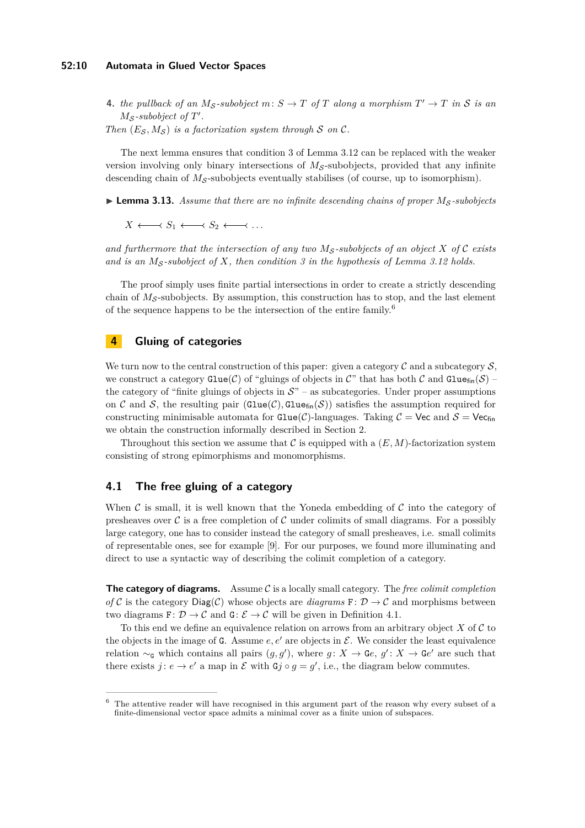## **52:10 Automata in Glued Vector Spaces**

**4.** *the pullback of an*  $M_{\mathcal{S}}$ -subobject  $m: S \to T$  *of*  $T$  *along a morphism*  $T' \to T$  *in*  $S$  *is an*  $M_{\mathcal{S}}$ -subobject of  $T'$ .

*Then*  $(E_S, M_S)$  *is a factorization system through* S *on* C.

The next lemma ensures that condition [3](#page-8-1) of Lemma [3.12](#page-8-2) can be replaced with the weaker version involving only binary intersections of  $M<sub>S</sub>$ -subobjects, provided that any infinite descending chain of  $M<sub>S</sub>$ -subobjects eventually stabilises (of course, up to isomorphism).

<span id="page-9-2"></span> $\triangleright$  **Lemma 3.13.** Assume that there are no infinite descending chains of proper  $M_S$ -subobjects

 $X \longleftrightarrow S_1 \longleftrightarrow S_2 \longleftrightarrow \dots$ 

and furthermore that the intersection of any two  $M<sub>S</sub>$ -subobjects of an object X of C exists *and is an M*<sup>S</sup> *-subobject of X, then condition [3](#page-8-1) in the hypothesis of Lemma [3.12](#page-8-2) holds.*

The proof simply uses finite partial intersections in order to create a strictly descending chain of  $M<sub>S</sub>$ -subobjects. By assumption, this construction has to stop, and the last element of the sequence happens to be the intersection of the entire family.<sup>[6](#page-9-1)</sup>

# <span id="page-9-0"></span>**4 Gluing of categories**

We turn now to the central construction of this paper: given a category  $\mathcal C$  and a subcategory  $\mathcal S$ , we construct a category  $\text{Glue}(\mathcal{C})$  of "gluings of objects in C" that has both C and  $\text{Glue}_{\text{fin}}(\mathcal{S})$  – the category of "finite gluings of objects in  $S$ " – as subcategories. Under proper assumptions on C and S, the resulting pair  $(\text{Glue}(C), \text{Glue}_{fin}(S))$  satisfies the assumption required for constructing minimisable automata for  $\text{Glue}(\mathcal{C})$ -languages. Taking  $\mathcal{C} = \text{Vec}$  and  $\mathcal{S} = \text{Vec}_{fin}$ we obtain the construction informally described in Section [2.](#page-2-0)

Throughout this section we assume that  $\mathcal C$  is equipped with a  $(E, M)$ -factorization system consisting of strong epimorphisms and monomorphisms.

## **4.1 The free gluing of a category**

When  $\mathcal C$  is small, it is well known that the Yoneda embedding of  $\mathcal C$  into the category of presheaves over  $\mathcal C$  is a free completion of  $\mathcal C$  under colimits of small diagrams. For a possibly large category, one has to consider instead the category of small presheaves, i.e. small colimits of representable ones, see for example [\[9\]](#page-13-3). For our purposes, we found more illuminating and direct to use a syntactic way of describing the colimit completion of a category.

**The category of diagrams.** Assume C is a locally small category. The *free colimit completion of* C is the category  $Diag(C)$  whose objects are *diagrams*  $F: D \to C$  and morphisms between two diagrams  $\mathbf{F} : \mathcal{D} \to \mathcal{C}$  and  $\mathbf{G} : \mathcal{E} \to \mathcal{C}$  will be given in Definition [4.1.](#page-10-0)

To this end we define an equivalence relation on arrows from an arbitrary object *X* of C to the objects in the image of G. Assume  $e, e'$  are objects in  $\mathcal{E}$ . We consider the least equivalence relation  $\sim_{\mathsf{G}}$  which contains all pairs  $(g, g')$ , where  $g: X \to \mathsf{G}e$ ,  $g' : X \to \mathsf{G}e'$  are such that there exists  $j: e \to e'$  a map in  $\mathcal E$  with  $\mathsf{G} j \circ g = g'$ , i.e., the diagram below commutes.

<span id="page-9-1"></span><sup>6</sup> The attentive reader will have recognised in this argument part of the reason why every subset of a finite-dimensional vector space admits a minimal cover as a finite union of subspaces.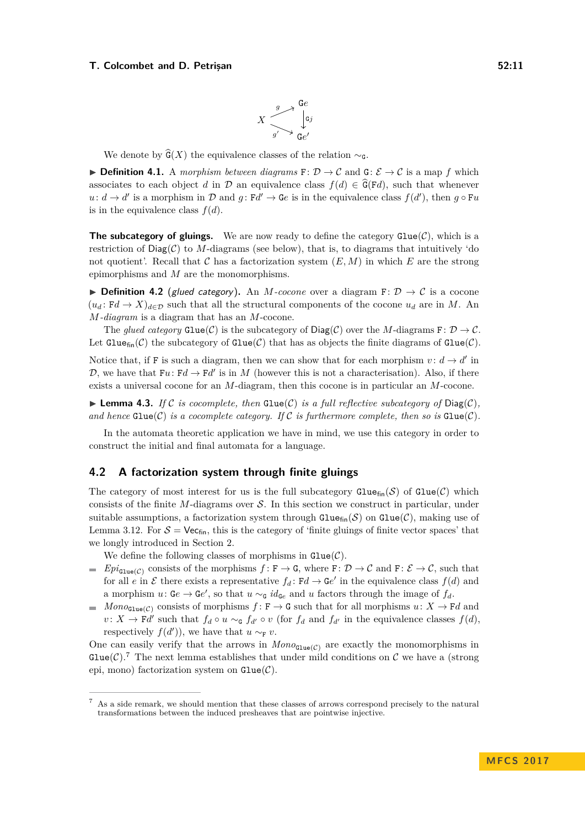We denote by  $\widehat{G}(X)$  the equivalence classes of the relation  $\sim_{\mathsf{G}}$ .

<span id="page-10-0"></span>**► Definition 4.1.** A morphism between diagrams  $\mathbf{F}$ :  $\mathcal{D} \to \mathcal{C}$  and  $\mathbf{G}$ :  $\mathcal{E} \to \mathcal{C}$  is a map f which associates to each object *d* in D an equivalence class  $f(d) \in \widehat{G}(Fd)$ , such that whenever  $u: d \to d'$  is a morphism in D and  $g: Fd' \to Ge$  is in the equivalence class  $f(d')$ , then  $g \circ Fu$ is in the equivalence class  $f(d)$ .

**The subcategory of gluings.** We are now ready to define the category  $Glue(\mathcal{C})$ , which is a restriction of  $Diag(\mathcal{C})$  to *M*-diagrams (see below), that is, to diagrams that intuitively 'do not quotient'. Recall that  $\mathcal C$  has a factorization system  $(E, M)$  in which  $E$  are the strong epimorphisms and *M* are the monomorphisms.

**► Definition 4.2** (glued category). An *M*-cocone over a diagram  $\mathbf{F}$ :  $\mathcal{D} \to \mathcal{C}$  is a cocone  $(u_d: \mathrm{F}d \to X)_{d \in \mathcal{D}}$  such that all the structural components of the cocone  $u_d$  are in *M*. An *M-diagram* is a diagram that has an *M*-cocone.

The *glued category*  $\text{Glue}(\mathcal{C})$  is the subcategory of  $\text{Diag}(\mathcal{C})$  over the *M*-diagrams  $\mathbf{F} \colon \mathcal{D} \to \mathcal{C}$ . Let Gluef<sub>in</sub>(C) the subcategory of Glue(C) that has as objects the finite diagrams of Glue(C).

Notice that, if F is such a diagram, then we can show that for each morphism  $v : d \to d'$  in D, we have that  $Fu: Fd \to Fd'$  is in M (however this is not a characterisation). Also, if there exists a universal cocone for an *M*-diagram, then this cocone is in particular an *M*-cocone.

<span id="page-10-2"></span> $\blacktriangleright$  **Lemma 4.3.** *If* C *is cocomplete, then* Glue(C) *is a full reflective subcategory of* Diag(C), *and hence*  $\text{Glue}(\mathcal{C})$  *is a cocomplete category. If*  $\mathcal{C}$  *is furthermore complete, then so is*  $\text{Glue}(\mathcal{C})$ *.* 

In the automata theoretic application we have in mind, we use this category in order to construct the initial and final automata for a language.

# **4.2 A factorization system through finite gluings**

The category of most interest for us is the full subcategory  $\text{Glue}_{fin}(\mathcal{S})$  of  $\text{Glue}(\mathcal{C})$  which consists of the finite *M*-diagrams over  $S$ . In this section we construct in particular, under suitable assumptions, a factorization system through  $\text{Glue}_{fin}(\mathcal{S})$  on  $\text{Glue}(\mathcal{C})$ , making use of Lemma [3.12.](#page-8-2) For  $S = \text{Vec}_{fin}$ , this is the category of 'finite gluings of finite vector spaces' that we longly introduced in Section [2.](#page-2-0)

We define the following classes of morphisms in  $\text{Glue}(\mathcal{C})$ .

- $Epi_{\text{glue}(C)}$  consists of the morphisms  $f: F \to G$ , where  $F: D \to C$  and  $F: \mathcal{E} \to C$ , such that for all *e* in  $\mathcal E$  there exists a representative  $f_d$ :  $Fd \to Ge'$  in the equivalence class  $f(d)$  and a morphism  $u: \mathsf{G}e \to \mathsf{G}e'$ , so that  $u \sim_{\mathsf{G}} id_{\mathsf{G}e}$  and  $u$  factors through the image of  $f_d$ .
- $Mono_{\text{Glue}(\mathcal{C})}$  consists of morphisms  $f: \mathbf{F} \to \mathbf{G}$  such that for all morphisms  $u: X \to \mathbf{F}d$  and  $\mathbf{r}$  $v: X \to \mathbf{F}d'$  such that  $f_d \circ u \sim_{\mathbf{G}} f_{d'} \circ v$  (for  $f_d$  and  $f_{d'}$  in the equivalence classes  $f(d)$ , respectively  $f(d')$ , we have that  $u \sim_{\mathbf{F}} v$ .

One can easily verify that the arrows in  $Mono_{Glu}(c)$  are exactly the monomorphisms in Glue(C).<sup>[7](#page-10-1)</sup> The next lemma establishes that under mild conditions on C we have a (strong epi, mono) factorization system on  $\text{Glue}(\mathcal{C})$ .

<span id="page-10-1"></span><sup>7</sup> As a side remark, we should mention that these classes of arrows correspond precisely to the natural transformations between the induced presheaves that are pointwise injective.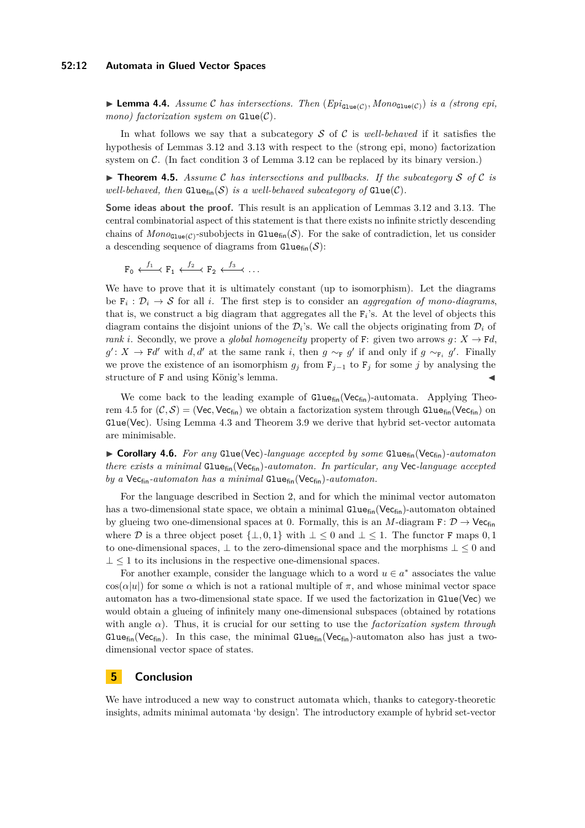## **52:12 Automata in Glued Vector Spaces**

**Lemma 4.4.** *Assume* C has intersections. Then  $(Epi_{\text{glue}(C)}, Mono_{\text{Glue}(C)})$  is a (strong epi, *mono)* factorization system on  $Glue(\mathcal{C})$ .

In what follows we say that a subcategory S of C is *well-behaved* if it satisfies the hypothesis of Lemmas [3.12](#page-8-2) and [3.13](#page-9-2) with respect to the (strong epi, mono) factorization system on C. (In fact condition [3](#page-8-1) of Lemma [3.12](#page-8-2) can be replaced by its binary version.)

<span id="page-11-1"></span> $\triangleright$  **Theorem 4.5.** *Assume* C *has intersections and pullbacks. If the subcategory* S of C *is well-behaved, then*  $Glue_{fin}(\mathcal{S})$  *is a well-behaved subcategory of*  $Glue(\mathcal{C})$ *.* 

**Some ideas about the proof.** This result is an application of Lemmas [3.12](#page-8-2) and [3.13.](#page-9-2) The central combinatorial aspect of this statement is that there exists no infinite strictly descending chains of  $Mono_{\text{Gue}(\mathcal{C})}$ -subobjects in  $\text{Gue}_{\text{fin}}(\mathcal{S})$ . For the sake of contradiction, let us consider a descending sequence of diagrams from  $\text{Glue}_{\text{fin}}(\mathcal{S})$ :

 $\texttt{F}_0 \overset{f_1}{\longleftarrow} \texttt{F}_1 \overset{f_2}{\longleftarrow} \texttt{F}_2 \overset{f_3}{\longleftarrow} \ldots$ 

We have to prove that it is ultimately constant (up to isomorphism). Let the diagrams be  $F_i: \mathcal{D}_i \to \mathcal{S}$  for all *i*. The first step is to consider an *aggregation of mono-diagrams*, that is, we construct a big diagram that aggregates all the F*<sup>i</sup>* 's. At the level of objects this diagram contains the disjoint unions of the  $\mathcal{D}_i$ 's. We call the objects originating from  $\mathcal{D}_i$  of *rank i*. Secondly, we prove a *global homogeneity* property of F: given two arrows  $q: X \to \mathbf{F}d$ , *g*<sup>'</sup>: *X* → **F***d*<sup>'</sup> with *d, d'* at the same rank *i*, then *g* ∼<sub>**F**</sub> *g*<sup>'</sup> if and only if *g* ∼<sub>**F**<sup>*i*</sup> *g*<sup>'</sup>. Finally</sub> we prove the existence of an isomorphism  $g_j$  from  $\mathbf{F}_{j-1}$  to  $\mathbf{F}_j$  for some *j* by analysing the structure of F and using König's lemma.

We come back to the leading example of  $Gluef_{fin}(Vec_{fin})$ -automata. Applying Theo-rem [4.5](#page-11-1) for  $(C, S) =$  (Vec, Vec<sub>fin</sub>) we obtain a factorization system through Glue<sub>fin</sub> (Vec<sub>fin</sub>) on Glue(Vec). Using Lemma [4.3](#page-10-2) and Theorem [3.9](#page-7-2) we derive that hybrid set-vector automata are minimisable.

▶ Corollary 4.6. *For any* Glue(Vec)-language accepted by some Glue<sub>fin</sub>(Vec<sub>fin</sub>)-automaton *there exists a minimal* Gluefin(Vecfin)*-automaton. In particular, any* Vec*-language accepted by a* Vecfin*-automaton has a minimal* Gluefin(Vecfin)*-automaton.*

For the language described in Section [2,](#page-2-0) and for which the minimal vector automaton has a two-dimensional state space, we obtain a minimal  $Glue_{fin}(Vec_{fin})$ -automaton obtained by glueing two one-dimensional spaces at 0. Formally, this is an *M*-diagram  $\mathbf{F} \colon \mathcal{D} \to \mathsf{Vec}_{\mathsf{fin}}$ where D is a three object poset  $\{\perp, 0, 1\}$  with  $\perp \leq 0$  and  $\perp \leq 1$ . The functor F maps 0, 1 to one-dimensional spaces,  $\perp$  to the zero-dimensional space and the morphisms  $\perp \leq 0$  and  $\perp \leq 1$  to its inclusions in the respective one-dimensional spaces.

For another example, consider the language which to a word  $u \in a^*$  associates the value  $\cos(\alpha|u|)$  for some  $\alpha$  which is not a rational multiple of  $\pi$ , and whose minimal vector space automaton has a two-dimensional state space. If we used the factorization in  $\text{Glue}(\text{Vec})$  we would obtain a glueing of infinitely many one-dimensional subspaces (obtained by rotations with angle  $\alpha$ ). Thus, it is crucial for our setting to use the *factorization system through* Gluef<sub>in</sub>(Vec<sub>fin</sub>). In this case, the minimal Gluef<sub>in</sub>(Vec<sub>fin</sub>)-automaton also has just a twodimensional vector space of states.

# <span id="page-11-0"></span>**5 Conclusion**

We have introduced a new way to construct automata which, thanks to category-theoretic insights, admits minimal automata 'by design'. The introductory example of hybrid set-vector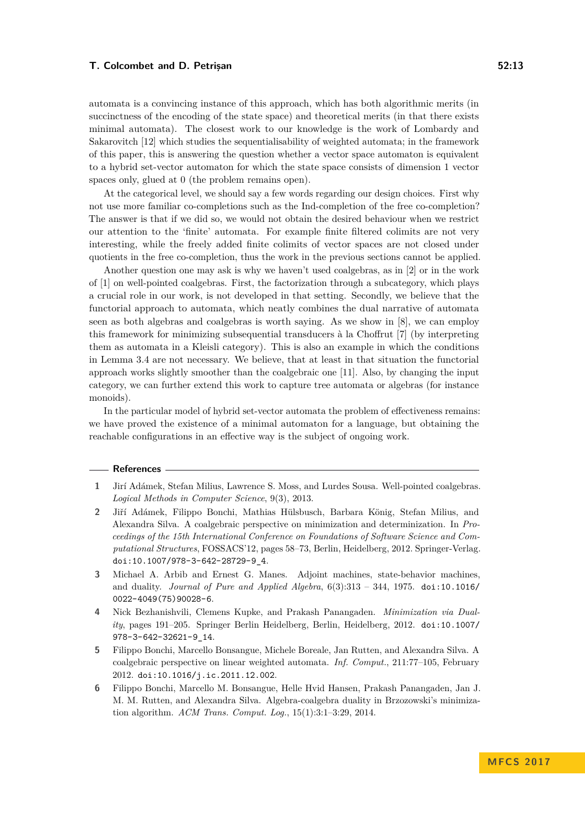automata is a convincing instance of this approach, which has both algorithmic merits (in succinctness of the encoding of the state space) and theoretical merits (in that there exists minimal automata). The closest work to our knowledge is the work of Lombardy and Sakarovitch [\[12\]](#page-13-4) which studies the sequentialisability of weighted automata; in the framework of this paper, this is answering the question whether a vector space automaton is equivalent to a hybrid set-vector automaton for which the state space consists of dimension 1 vector spaces only, glued at 0 (the problem remains open).

At the categorical level, we should say a few words regarding our design choices. First why not use more familiar co-completions such as the Ind-completion of the free co-completion? The answer is that if we did so, we would not obtain the desired behaviour when we restrict our attention to the 'finite' automata. For example finite filtered colimits are not very interesting, while the freely added finite colimits of vector spaces are not closed under quotients in the free co-completion, thus the work in the previous sections cannot be applied.

Another question one may ask is why we haven't used coalgebras, as in [\[2\]](#page-12-5) or in the work of [\[1\]](#page-12-1) on well-pointed coalgebras. First, the factorization through a subcategory, which plays a crucial role in our work, is not developed in that setting. Secondly, we believe that the functorial approach to automata, which neatly combines the dual narrative of automata seen as both algebras and coalgebras is worth saying. As we show in [\[8\]](#page-13-5), we can employ this framework for minimizing subsequential transducers à la Choffrut [\[7\]](#page-13-6) (by interpreting them as automata in a Kleisli category). This is also an example in which the conditions in Lemma [3.4](#page-6-1) are not necessary. We believe, that at least in that situation the functorial approach works slightly smoother than the coalgebraic one [\[11\]](#page-13-7). Also, by changing the input category, we can further extend this work to capture tree automata or algebras (for instance monoids).

In the particular model of hybrid set-vector automata the problem of effectiveness remains: we have proved the existence of a minimal automaton for a language, but obtaining the reachable configurations in an effective way is the subject of ongoing work.

#### **References**

- <span id="page-12-1"></span>**1** Jirí Adámek, Stefan Milius, Lawrence S. Moss, and Lurdes Sousa. Well-pointed coalgebras. *Logical Methods in Computer Science*, 9(3), 2013.
- <span id="page-12-5"></span>**2** Jiří Adámek, Filippo Bonchi, Mathias Hülsbusch, Barbara König, Stefan Milius, and Alexandra Silva. A coalgebraic perspective on minimization and determinization. In *Proceedings of the 15th International Conference on Foundations of Software Science and Computational Structures*, FOSSACS'12, pages 58–73, Berlin, Heidelberg, 2012. Springer-Verlag. [doi:10.1007/978-3-642-28729-9\\_4](http://dx.doi.org/10.1007/978-3-642-28729-9_4).
- <span id="page-12-0"></span>**3** Michael A. Arbib and Ernest G. Manes. Adjoint machines, state-behavior machines, and duality. *Journal of Pure and Applied Algebra*, 6(3):313 – 344, 1975. [doi:10.1016/](http://dx.doi.org/10.1016/0022-4049(75)90028-6) [0022-4049\(75\)90028-6](http://dx.doi.org/10.1016/0022-4049(75)90028-6).
- <span id="page-12-2"></span>**4** Nick Bezhanishvili, Clemens Kupke, and Prakash Panangaden. *Minimization via Duality*, pages 191–205. Springer Berlin Heidelberg, Berlin, Heidelberg, 2012. [doi:10.1007/](http://dx.doi.org/10.1007/978-3-642-32621-9_14) [978-3-642-32621-9\\_14](http://dx.doi.org/10.1007/978-3-642-32621-9_14).
- <span id="page-12-3"></span>**5** Filippo Bonchi, Marcello Bonsangue, Michele Boreale, Jan Rutten, and Alexandra Silva. A coalgebraic perspective on linear weighted automata. *Inf. Comput.*, 211:77–105, February 2012. [doi:10.1016/j.ic.2011.12.002](http://dx.doi.org/10.1016/j.ic.2011.12.002).
- <span id="page-12-4"></span>**6** Filippo Bonchi, Marcello M. Bonsangue, Helle Hvid Hansen, Prakash Panangaden, Jan J. M. M. Rutten, and Alexandra Silva. Algebra-coalgebra duality in Brzozowski's minimization algorithm. *ACM Trans. Comput. Log.*, 15(1):3:1–3:29, 2014.